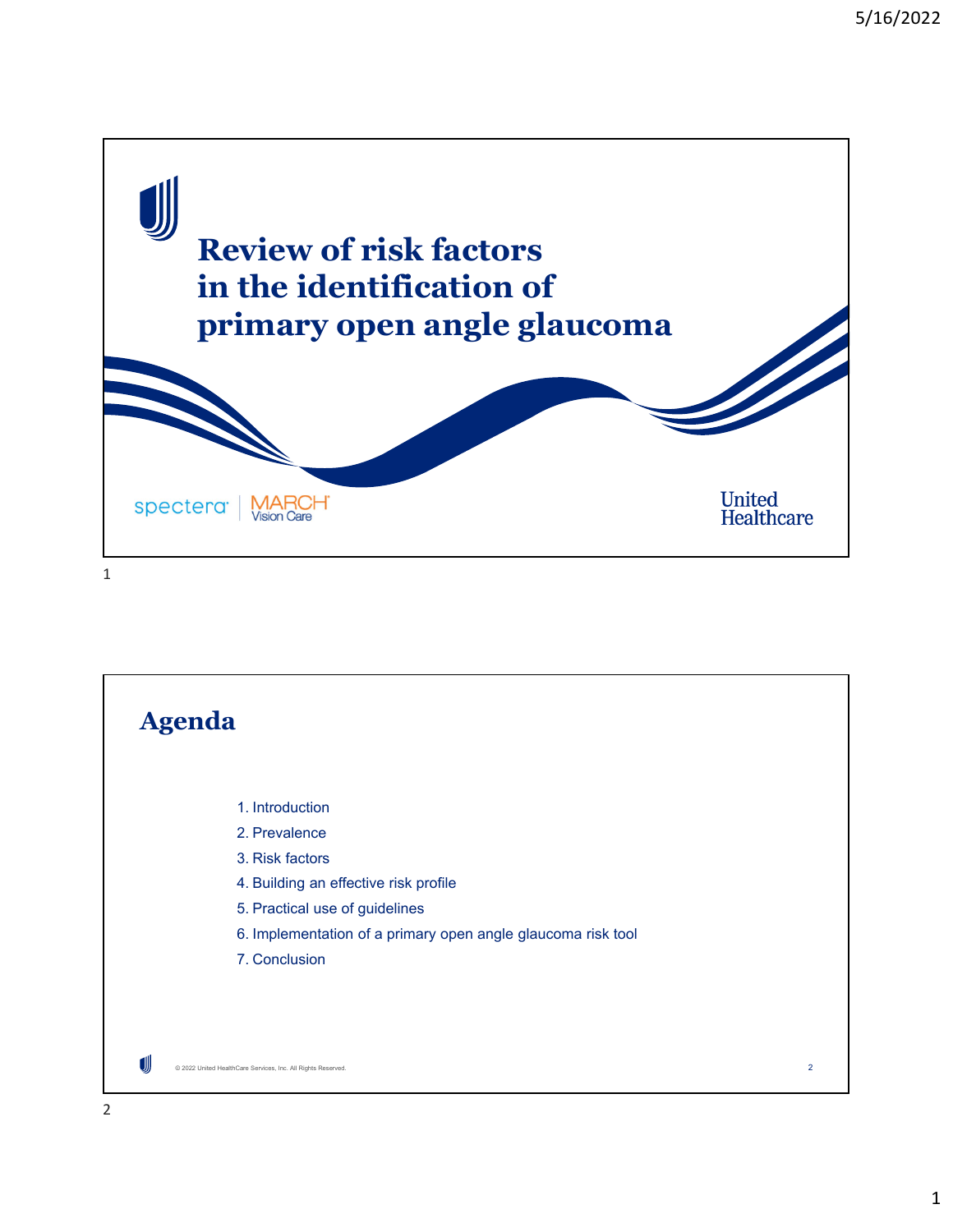

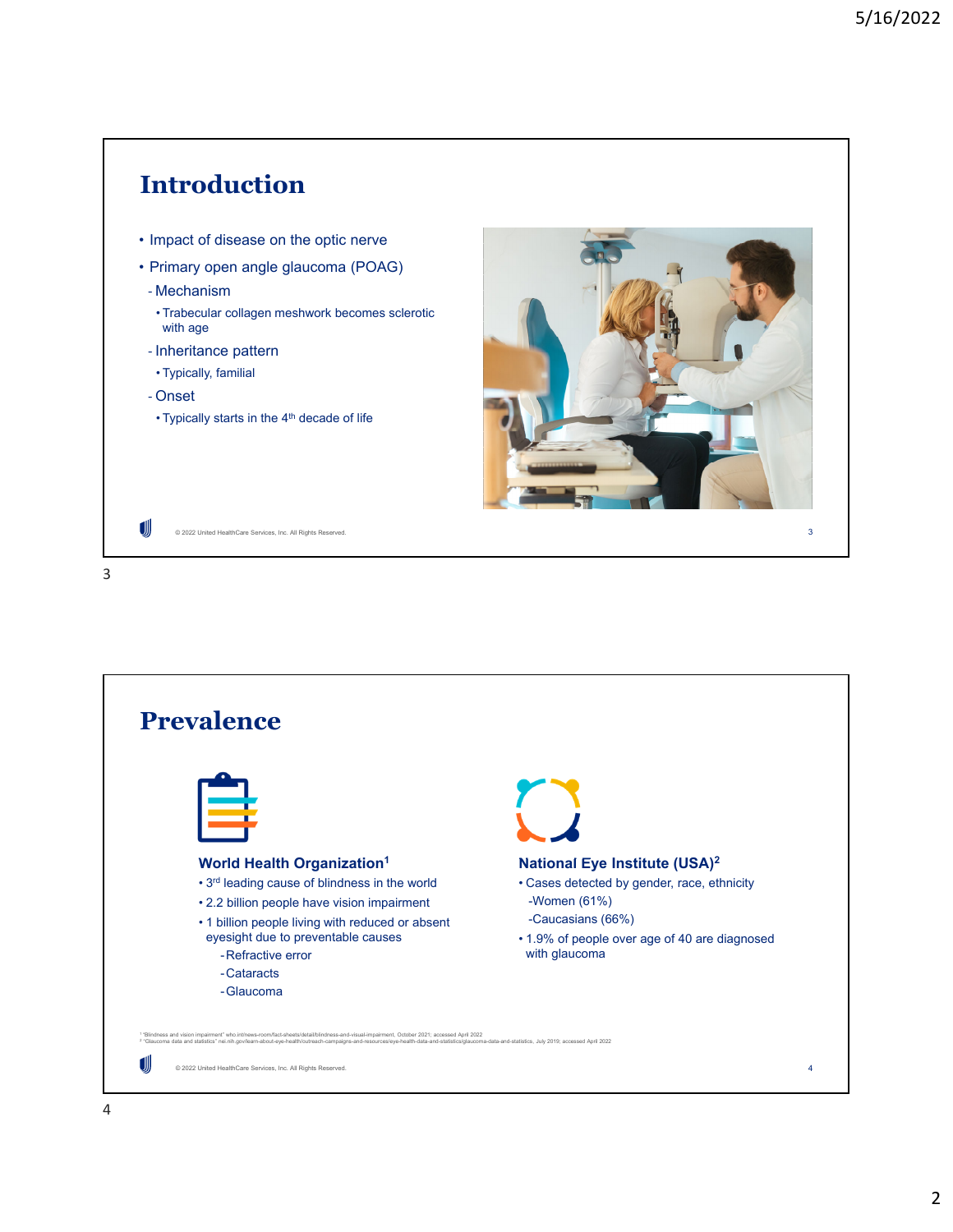

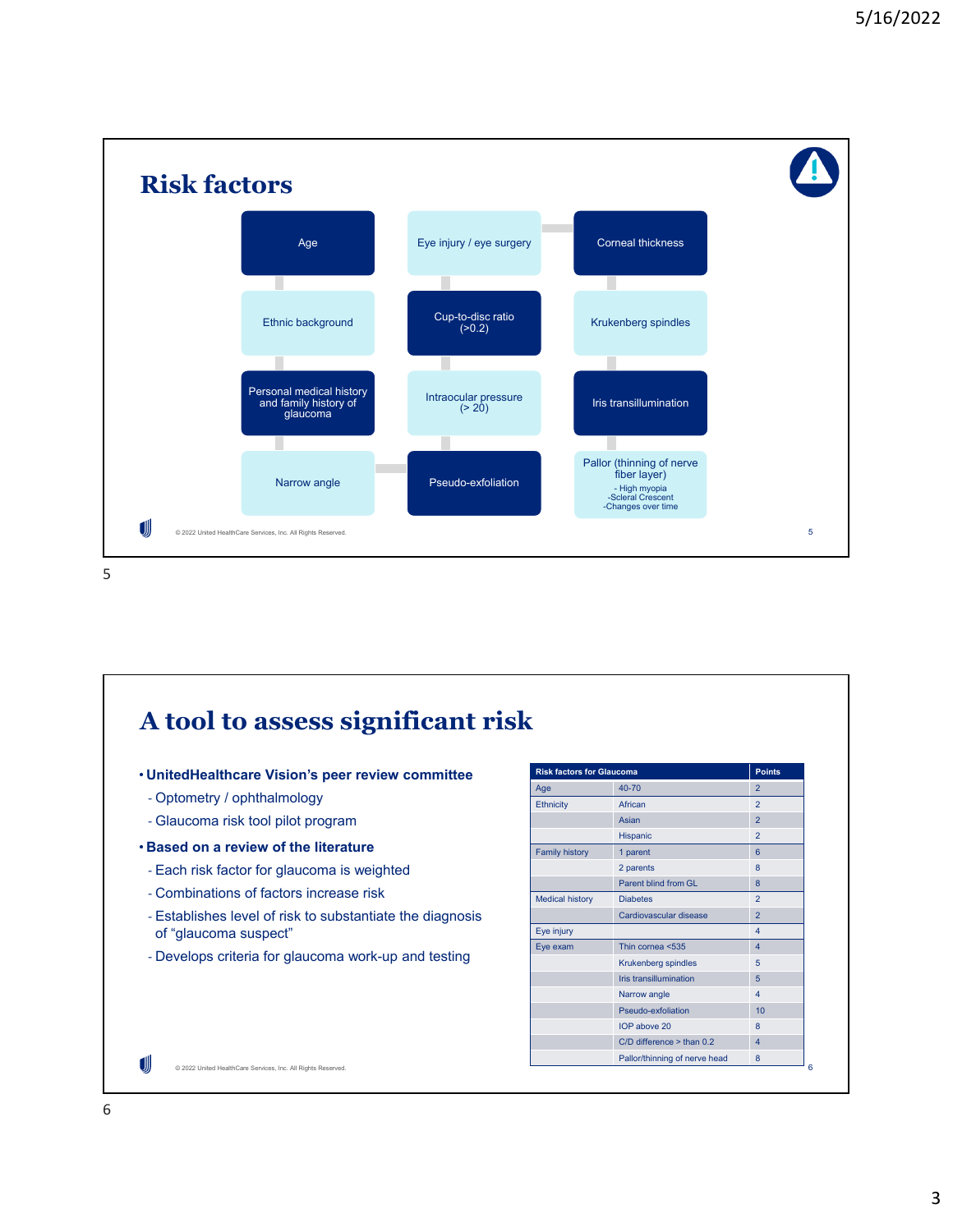

**A tool to assess significant risk Risk factors for Glaucoma** • **UnitedHealthcare Vision's peer review committee** Age 2012 2022 2023 2024 2025 2022 2024 2025 2026 2022 2024 2025 2026 2024 2025 2026 2024 2025 2026 20 ‐ Optometry / ophthalmology Ethnicity African 2 ‐ Glaucoma risk tool pilot program Asian 2012 - 2014 12:30 12:30 12:30 12:30 12:30 12:30 12:30 12:30 12:30 12:30 12:30 12:30 12:30 12:30 12:30 12:30 12:30 12:30 12:30 12:30 12:30 12:30 12:30 12:30 12:30 12:30 12:30 12:30 12:30 12:30 12:30 12:30 12:30 12:30 Hispanic 2 • **Based on a review of the literature** Family history 1 parent 6 2 parents 8 ‐ Each risk factor for glaucoma is weighted Parent blind from GL 8 ‐ Combinations of factors increase risk Medical history Diabetes 2 ‐ Establishes level of risk to substantiate the diagnosis Cardiovascular disease 2 of "glaucoma suspect" Eye injury **4** Eye exam Thin cornea <535 4 ‐ Develops criteria for glaucoma work-up and testing Krukenberg spindles 5 Iris transillumination 5 Narrow angle 4 Pseudo-exfoliation 10  $IOP above 20$  8  $C/D$  difference > than  $0.2$  4 Pallor/thinning of nerve head 8 UII © 2022 United HealthCare Services, Inc. All Rights Reserved. 6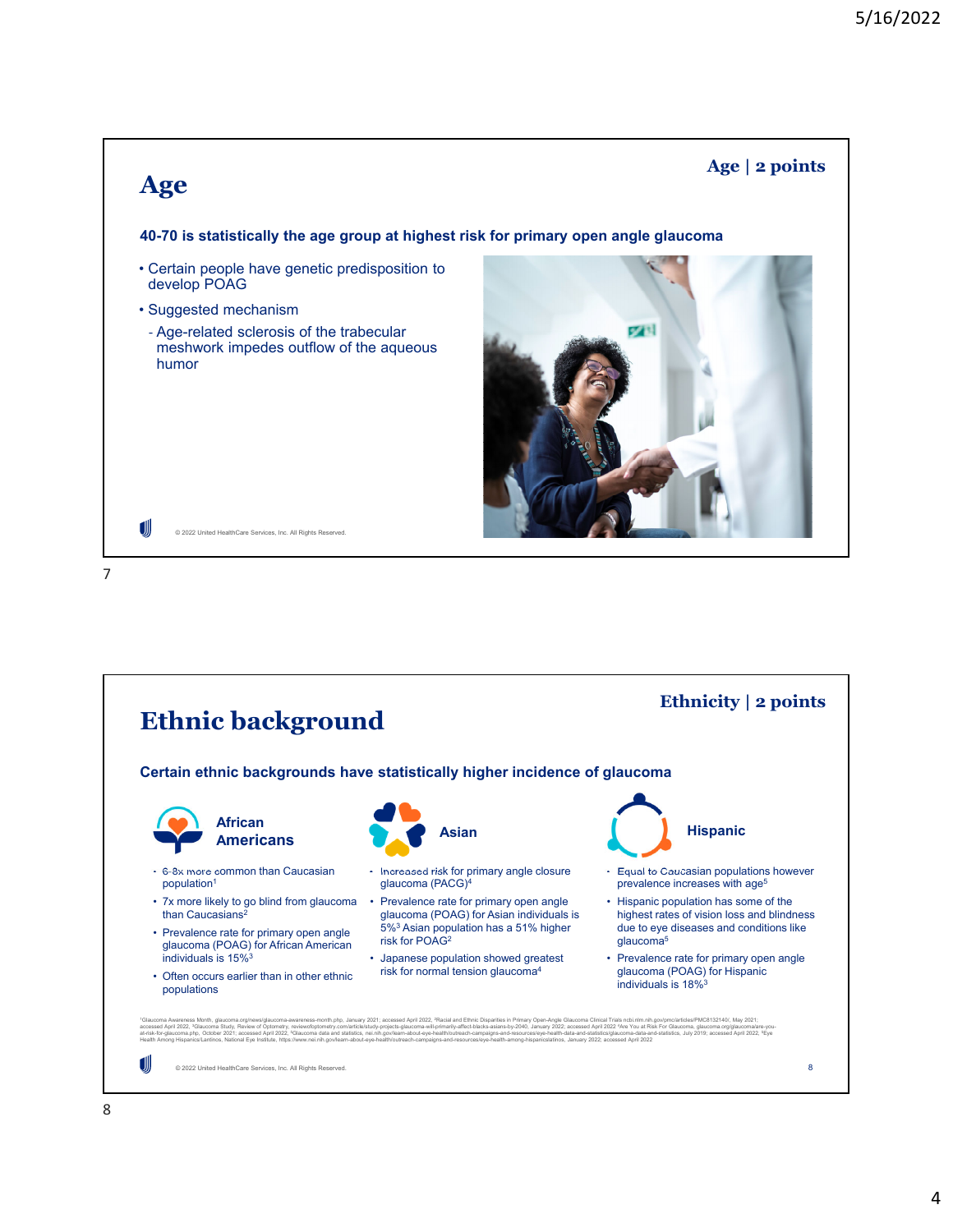

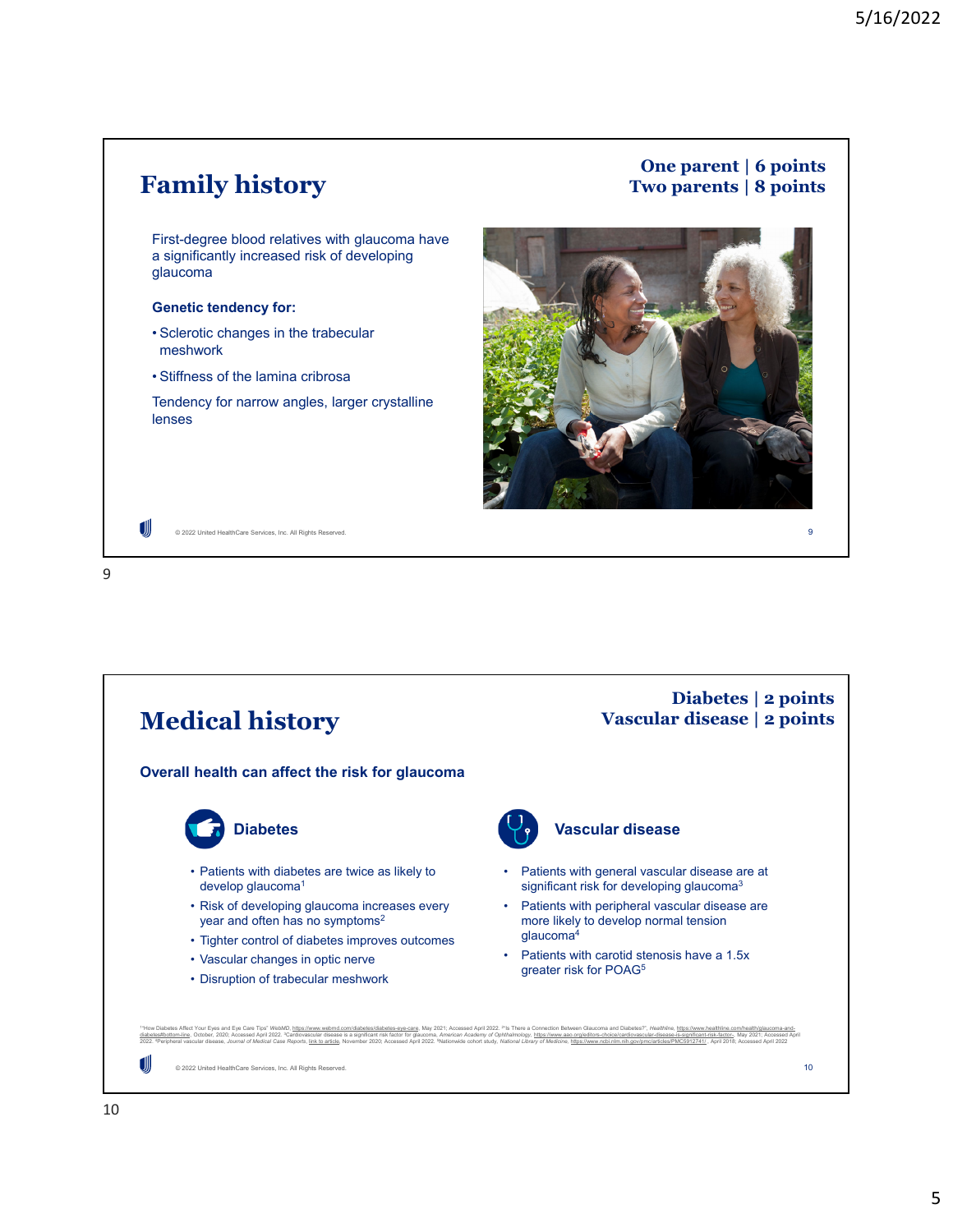## **Family history**

## **One parent | 6 points Two parents | 8 points**

9

First-degree blood relatives with glaucoma have a significantly increased risk of developing glaucoma

## **Genetic tendency for:**

- Sclerotic changes in the trabecular meshwork
- Stiffness of the lamina cribrosa

© 2022 United HealthCare Services, Inc. All Rights Reserved.

Tendency for narrow angles, larger crystalline lenses



9

JJJ

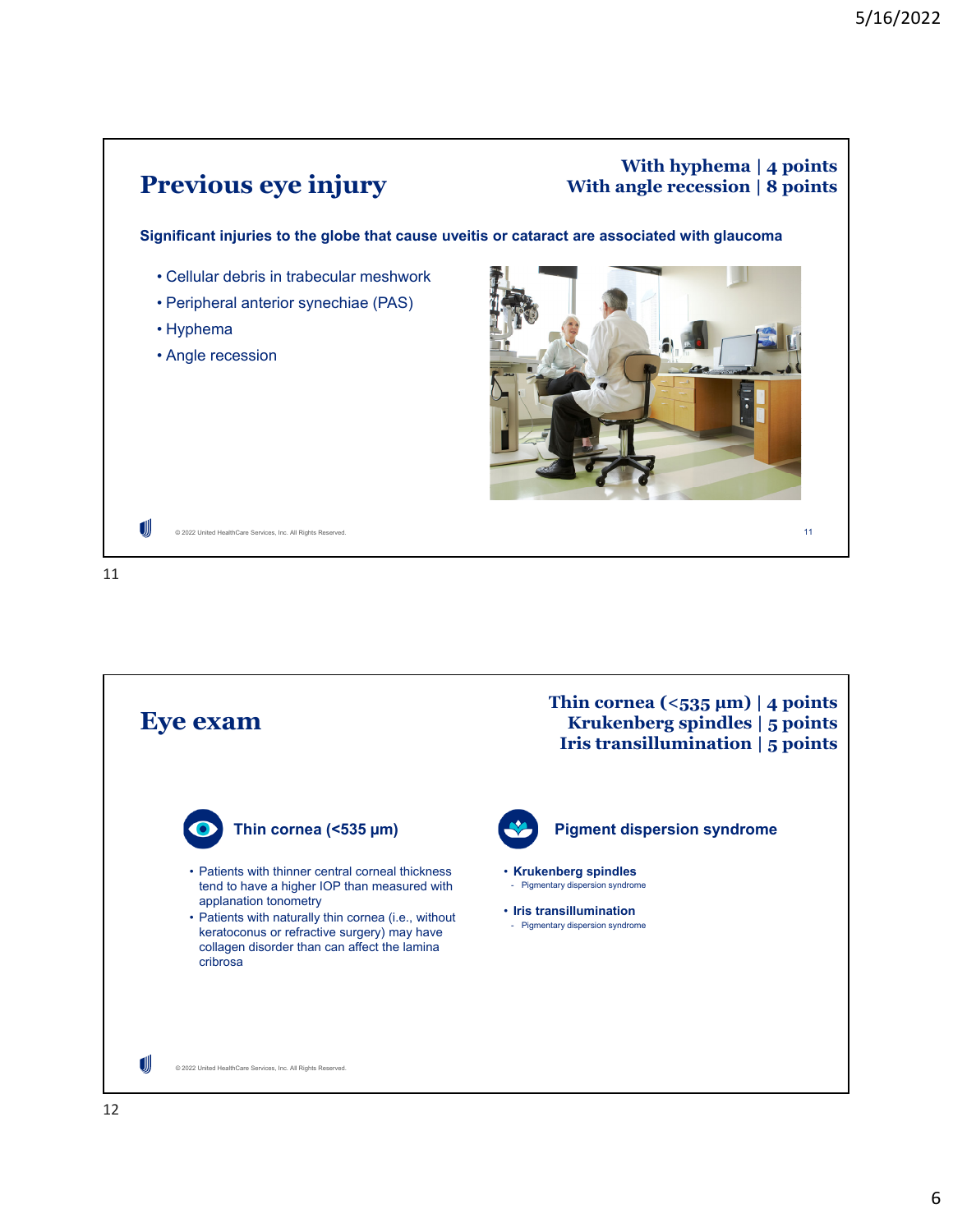

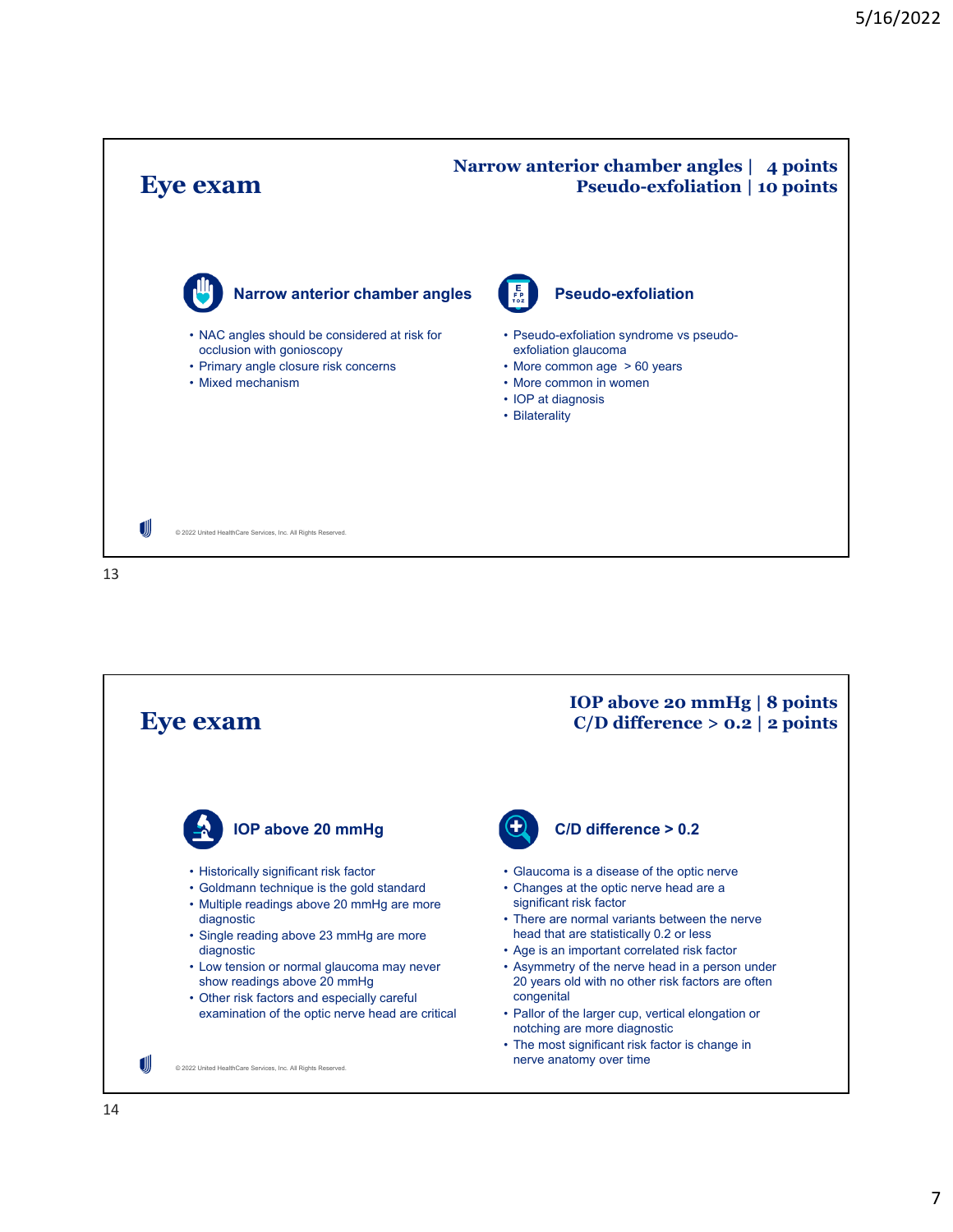

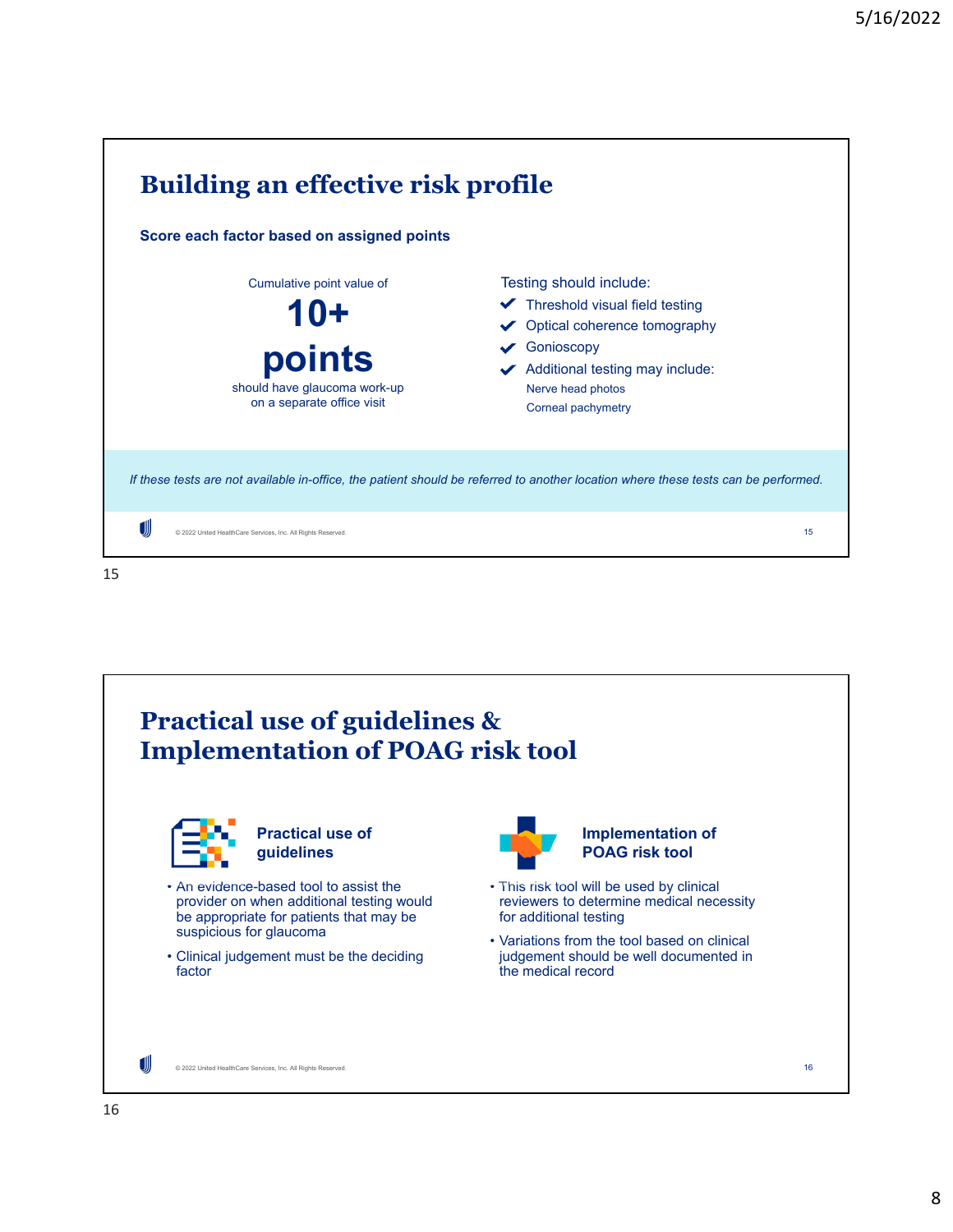